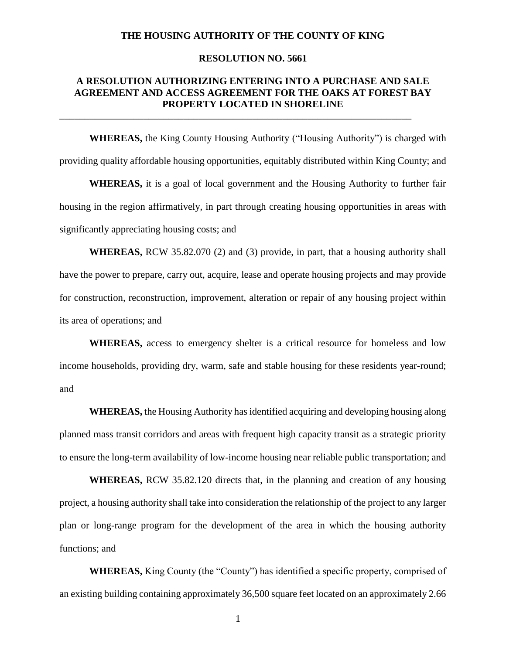### **THE HOUSING AUTHORITY OF THE COUNTY OF KING**

### **RESOLUTION NO. 5661**

## **A RESOLUTION AUTHORIZING ENTERING INTO A PURCHASE AND SALE AGREEMENT AND ACCESS AGREEMENT FOR THE OAKS AT FOREST BAY PROPERTY LOCATED IN SHORELINE**

\_\_\_\_\_\_\_\_\_\_\_\_\_\_\_\_\_\_\_\_\_\_\_\_\_\_\_\_\_\_\_\_\_\_\_\_\_\_\_\_\_\_\_\_\_\_\_\_\_\_\_\_\_\_\_\_\_\_\_\_\_\_\_\_\_\_\_\_\_\_\_

**WHEREAS,** the King County Housing Authority ("Housing Authority") is charged with providing quality affordable housing opportunities, equitably distributed within King County; and

**WHEREAS,** it is a goal of local government and the Housing Authority to further fair housing in the region affirmatively, in part through creating housing opportunities in areas with significantly appreciating housing costs; and

**WHEREAS,** RCW 35.82.070 (2) and (3) provide, in part, that a housing authority shall have the power to prepare, carry out, acquire, lease and operate housing projects and may provide for construction, reconstruction, improvement, alteration or repair of any housing project within its area of operations; and

**WHEREAS,** access to emergency shelter is a critical resource for homeless and low income households, providing dry, warm, safe and stable housing for these residents year-round; and

**WHEREAS,** the Housing Authority has identified acquiring and developing housing along planned mass transit corridors and areas with frequent high capacity transit as a strategic priority to ensure the long-term availability of low-income housing near reliable public transportation; and

**WHEREAS,** RCW 35.82.120 directs that, in the planning and creation of any housing project, a housing authority shall take into consideration the relationship of the project to any larger plan or long-range program for the development of the area in which the housing authority functions; and

**WHEREAS,** King County (the "County") has identified a specific property, comprised of an existing building containing approximately 36,500 square feet located on an approximately 2.66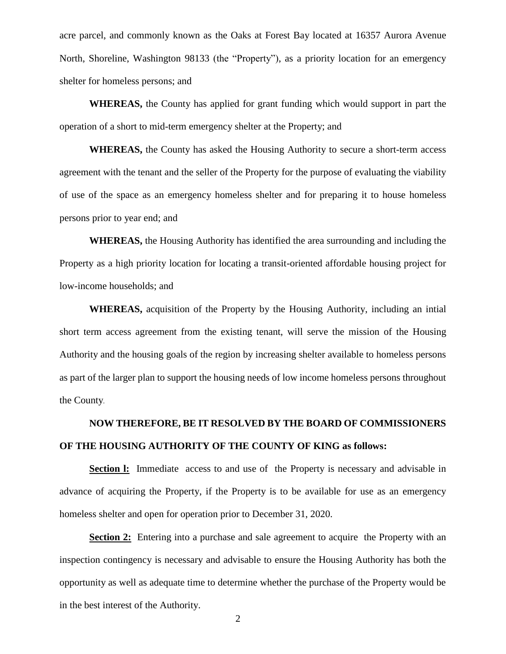acre parcel, and commonly known as the Oaks at Forest Bay located at 16357 Aurora Avenue North, Shoreline, Washington 98133 (the "Property"), as a priority location for an emergency shelter for homeless persons; and

**WHEREAS,** the County has applied for grant funding which would support in part the operation of a short to mid-term emergency shelter at the Property; and

**WHEREAS,** the County has asked the Housing Authority to secure a short-term access agreement with the tenant and the seller of the Property for the purpose of evaluating the viability of use of the space as an emergency homeless shelter and for preparing it to house homeless persons prior to year end; and

**WHEREAS,** the Housing Authority has identified the area surrounding and including the Property as a high priority location for locating a transit-oriented affordable housing project for low-income households; and

**WHEREAS,** acquisition of the Property by the Housing Authority, including an intial short term access agreement from the existing tenant, will serve the mission of the Housing Authority and the housing goals of the region by increasing shelter available to homeless persons as part of the larger plan to support the housing needs of low income homeless persons throughout the County.

# **NOW THEREFORE, BE IT RESOLVED BY THE BOARD OF COMMISSIONERS OF THE HOUSING AUTHORITY OF THE COUNTY OF KING as follows:**

**Section 1:** Immediate access to and use of the Property is necessary and advisable in advance of acquiring the Property, if the Property is to be available for use as an emergency homeless shelter and open for operation prior to December 31, 2020.

**Section 2:** Entering into a purchase and sale agreement to acquire the Property with an inspection contingency is necessary and advisable to ensure the Housing Authority has both the opportunity as well as adequate time to determine whether the purchase of the Property would be in the best interest of the Authority.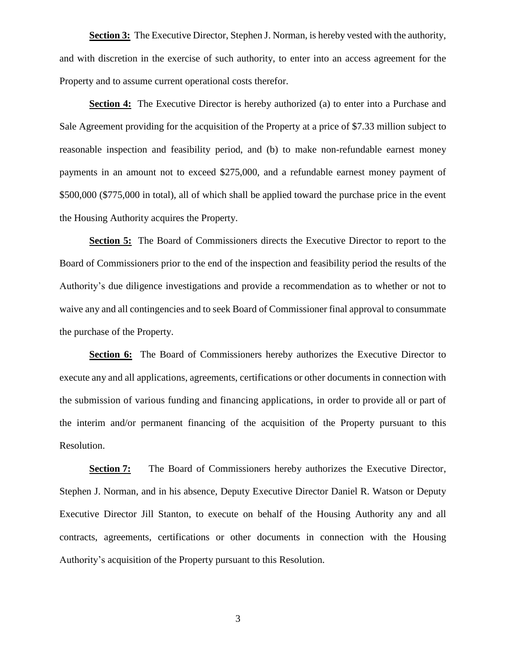**Section 3:** The Executive Director, Stephen J. Norman, is hereby vested with the authority, and with discretion in the exercise of such authority, to enter into an access agreement for the Property and to assume current operational costs therefor.

**Section 4:** The Executive Director is hereby authorized (a) to enter into a Purchase and Sale Agreement providing for the acquisition of the Property at a price of \$7.33 million subject to reasonable inspection and feasibility period, and (b) to make non-refundable earnest money payments in an amount not to exceed \$275,000, and a refundable earnest money payment of \$500,000 (\$775,000 in total), all of which shall be applied toward the purchase price in the event the Housing Authority acquires the Property.

**Section 5:** The Board of Commissioners directs the Executive Director to report to the Board of Commissioners prior to the end of the inspection and feasibility period the results of the Authority's due diligence investigations and provide a recommendation as to whether or not to waive any and all contingencies and to seek Board of Commissioner final approval to consummate the purchase of the Property.

**Section 6:** The Board of Commissioners hereby authorizes the Executive Director to execute any and all applications, agreements, certifications or other documents in connection with the submission of various funding and financing applications, in order to provide all or part of the interim and/or permanent financing of the acquisition of the Property pursuant to this Resolution.

**Section 7:** The Board of Commissioners hereby authorizes the Executive Director, Stephen J. Norman, and in his absence, Deputy Executive Director Daniel R. Watson or Deputy Executive Director Jill Stanton, to execute on behalf of the Housing Authority any and all contracts, agreements, certifications or other documents in connection with the Housing Authority's acquisition of the Property pursuant to this Resolution.

3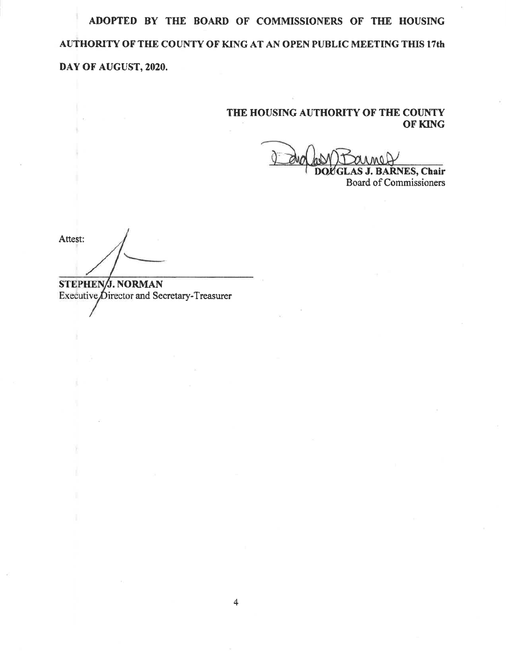ADOPTED BY THE BOARD OF COMMISSIONERS OF THE HOUSING AUTHORITY OF THE COUNTY OF KING AT AN OPEN PUBLIC MEETING THIS 17th DAY OF AUGUST, 2020.

## THE HOUSING AUTHORITY OF THE COUNTY OF KING

**GLAS J. BARNES, Chair Board of Commissioners** 

Attest:

STEPHEN/J. NORMAN Executive Director and Secretary-Treasurer